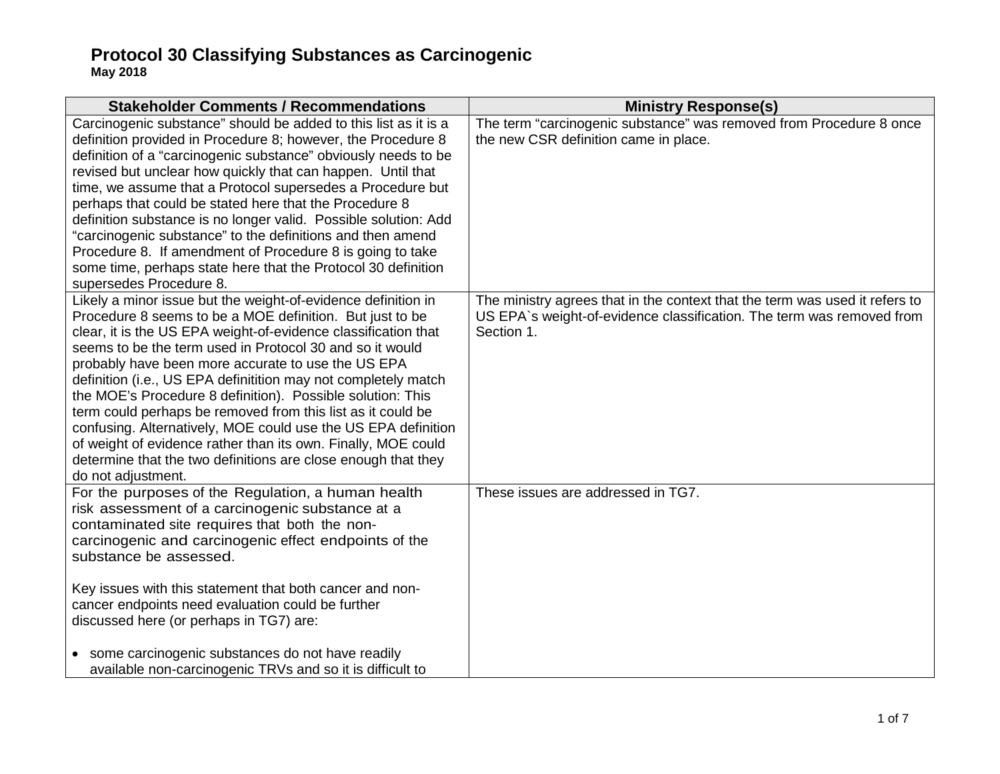| <b>Stakeholder Comments / Recommendations</b>                                                                                                                                                                                                                                                                                                                                                                                                                                                                                                                                                                                                                                                                                         | <b>Ministry Response(s)</b>                                                                                                                                        |
|---------------------------------------------------------------------------------------------------------------------------------------------------------------------------------------------------------------------------------------------------------------------------------------------------------------------------------------------------------------------------------------------------------------------------------------------------------------------------------------------------------------------------------------------------------------------------------------------------------------------------------------------------------------------------------------------------------------------------------------|--------------------------------------------------------------------------------------------------------------------------------------------------------------------|
| Carcinogenic substance" should be added to this list as it is a<br>definition provided in Procedure 8; however, the Procedure 8<br>definition of a "carcinogenic substance" obviously needs to be<br>revised but unclear how quickly that can happen. Until that<br>time, we assume that a Protocol supersedes a Procedure but<br>perhaps that could be stated here that the Procedure 8<br>definition substance is no longer valid. Possible solution: Add<br>"carcinogenic substance" to the definitions and then amend<br>Procedure 8. If amendment of Procedure 8 is going to take<br>some time, perhaps state here that the Protocol 30 definition<br>supersedes Procedure 8.                                                    | The term "carcinogenic substance" was removed from Procedure 8 once<br>the new CSR definition came in place.                                                       |
| Likely a minor issue but the weight-of-evidence definition in<br>Procedure 8 seems to be a MOE definition. But just to be<br>clear, it is the US EPA weight-of-evidence classification that<br>seems to be the term used in Protocol 30 and so it would<br>probably have been more accurate to use the US EPA<br>definition (i.e., US EPA definitition may not completely match<br>the MOE's Procedure 8 definition). Possible solution: This<br>term could perhaps be removed from this list as it could be<br>confusing. Alternatively, MOE could use the US EPA definition<br>of weight of evidence rather than its own. Finally, MOE could<br>determine that the two definitions are close enough that they<br>do not adjustment. | The ministry agrees that in the context that the term was used it refers to<br>US EPA's weight-of-evidence classification. The term was removed from<br>Section 1. |
| For the purposes of the Regulation, a human health<br>risk assessment of a carcinogenic substance at a<br>contaminated site requires that both the non-<br>carcinogenic and carcinogenic effect endpoints of the<br>substance be assessed.<br>Key issues with this statement that both cancer and non-<br>cancer endpoints need evaluation could be further<br>discussed here (or perhaps in TG7) are:<br>• some carcinogenic substances do not have readily                                                                                                                                                                                                                                                                          | These issues are addressed in TG7.                                                                                                                                 |
| available non-carcinogenic TRVs and so it is difficult to                                                                                                                                                                                                                                                                                                                                                                                                                                                                                                                                                                                                                                                                             |                                                                                                                                                                    |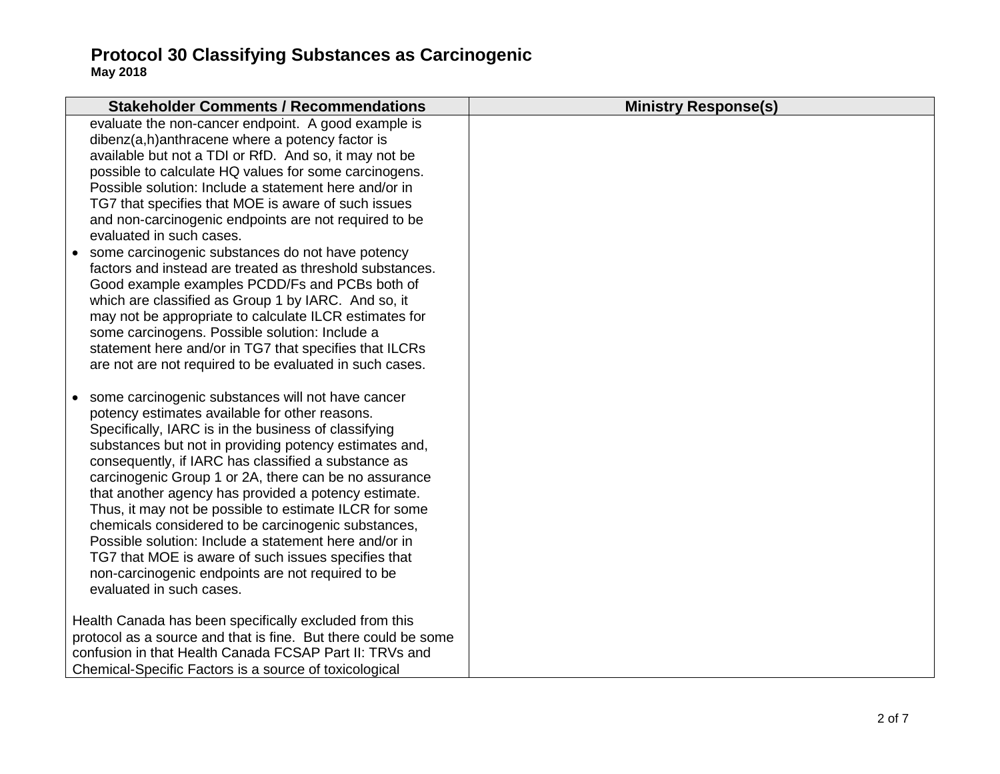|           | <b>Stakeholder Comments / Recommendations</b>                                                            | <b>Ministry Response(s)</b> |
|-----------|----------------------------------------------------------------------------------------------------------|-----------------------------|
|           | evaluate the non-cancer endpoint. A good example is                                                      |                             |
|           | dibenz(a,h)anthracene where a potency factor is                                                          |                             |
|           | available but not a TDI or RfD. And so, it may not be                                                    |                             |
|           | possible to calculate HQ values for some carcinogens.                                                    |                             |
|           | Possible solution: Include a statement here and/or in                                                    |                             |
|           | TG7 that specifies that MOE is aware of such issues                                                      |                             |
|           | and non-carcinogenic endpoints are not required to be                                                    |                             |
|           | evaluated in such cases.                                                                                 |                             |
| $\bullet$ | some carcinogenic substances do not have potency                                                         |                             |
|           | factors and instead are treated as threshold substances.                                                 |                             |
|           | Good example examples PCDD/Fs and PCBs both of                                                           |                             |
|           | which are classified as Group 1 by IARC. And so, it                                                      |                             |
|           | may not be appropriate to calculate ILCR estimates for<br>some carcinogens. Possible solution: Include a |                             |
|           | statement here and/or in TG7 that specifies that ILCRs                                                   |                             |
|           | are not are not required to be evaluated in such cases.                                                  |                             |
|           |                                                                                                          |                             |
| $\bullet$ | some carcinogenic substances will not have cancer                                                        |                             |
|           | potency estimates available for other reasons.                                                           |                             |
|           | Specifically, IARC is in the business of classifying                                                     |                             |
|           | substances but not in providing potency estimates and,                                                   |                             |
|           | consequently, if IARC has classified a substance as                                                      |                             |
|           | carcinogenic Group 1 or 2A, there can be no assurance                                                    |                             |
|           | that another agency has provided a potency estimate.                                                     |                             |
|           | Thus, it may not be possible to estimate ILCR for some                                                   |                             |
|           | chemicals considered to be carcinogenic substances,                                                      |                             |
|           | Possible solution: Include a statement here and/or in                                                    |                             |
|           | TG7 that MOE is aware of such issues specifies that                                                      |                             |
|           | non-carcinogenic endpoints are not required to be<br>evaluated in such cases.                            |                             |
|           |                                                                                                          |                             |
|           | Health Canada has been specifically excluded from this                                                   |                             |
|           | protocol as a source and that is fine. But there could be some                                           |                             |
|           | confusion in that Health Canada FCSAP Part II: TRVs and                                                  |                             |
|           | Chemical-Specific Factors is a source of toxicological                                                   |                             |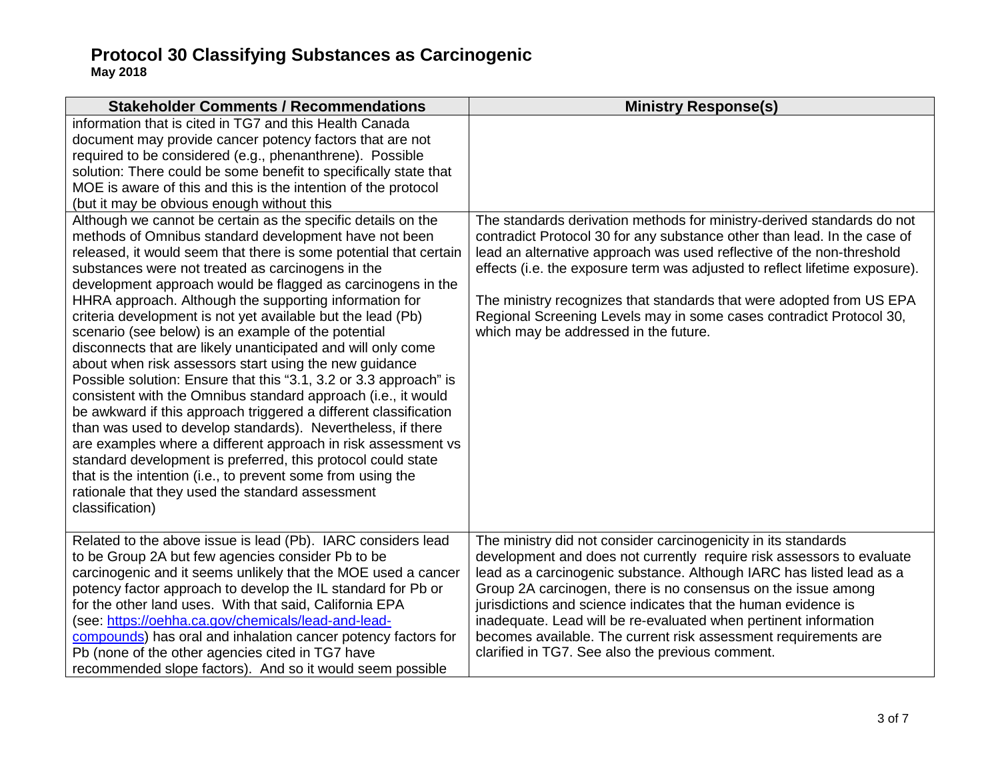| <b>Stakeholder Comments / Recommendations</b>                                                                                                                                                                                                                                                                                                                                                                                                                                                                                                                                                                                                                                                                                                                                                                                                                                                                                                                                                                                                                                                                                                                            | <b>Ministry Response(s)</b>                                                                                                                                                                                                                                                                                                                                                                                                                                                                                                                   |
|--------------------------------------------------------------------------------------------------------------------------------------------------------------------------------------------------------------------------------------------------------------------------------------------------------------------------------------------------------------------------------------------------------------------------------------------------------------------------------------------------------------------------------------------------------------------------------------------------------------------------------------------------------------------------------------------------------------------------------------------------------------------------------------------------------------------------------------------------------------------------------------------------------------------------------------------------------------------------------------------------------------------------------------------------------------------------------------------------------------------------------------------------------------------------|-----------------------------------------------------------------------------------------------------------------------------------------------------------------------------------------------------------------------------------------------------------------------------------------------------------------------------------------------------------------------------------------------------------------------------------------------------------------------------------------------------------------------------------------------|
| information that is cited in TG7 and this Health Canada<br>document may provide cancer potency factors that are not<br>required to be considered (e.g., phenanthrene). Possible<br>solution: There could be some benefit to specifically state that<br>MOE is aware of this and this is the intention of the protocol<br>(but it may be obvious enough without this                                                                                                                                                                                                                                                                                                                                                                                                                                                                                                                                                                                                                                                                                                                                                                                                      |                                                                                                                                                                                                                                                                                                                                                                                                                                                                                                                                               |
| Although we cannot be certain as the specific details on the<br>methods of Omnibus standard development have not been<br>released, it would seem that there is some potential that certain<br>substances were not treated as carcinogens in the<br>development approach would be flagged as carcinogens in the<br>HHRA approach. Although the supporting information for<br>criteria development is not yet available but the lead (Pb)<br>scenario (see below) is an example of the potential<br>disconnects that are likely unanticipated and will only come<br>about when risk assessors start using the new guidance<br>Possible solution: Ensure that this "3.1, 3.2 or 3.3 approach" is<br>consistent with the Omnibus standard approach (i.e., it would<br>be awkward if this approach triggered a different classification<br>than was used to develop standards). Nevertheless, if there<br>are examples where a different approach in risk assessment vs<br>standard development is preferred, this protocol could state<br>that is the intention (i.e., to prevent some from using the<br>rationale that they used the standard assessment<br>classification) | The standards derivation methods for ministry-derived standards do not<br>contradict Protocol 30 for any substance other than lead. In the case of<br>lead an alternative approach was used reflective of the non-threshold<br>effects (i.e. the exposure term was adjusted to reflect lifetime exposure).<br>The ministry recognizes that standards that were adopted from US EPA<br>Regional Screening Levels may in some cases contradict Protocol 30,<br>which may be addressed in the future.                                            |
| Related to the above issue is lead (Pb). IARC considers lead<br>to be Group 2A but few agencies consider Pb to be<br>carcinogenic and it seems unlikely that the MOE used a cancer<br>potency factor approach to develop the IL standard for Pb or<br>for the other land uses. With that said, California EPA<br>(see: https://oehha.ca.gov/chemicals/lead-and-lead-<br>compounds) has oral and inhalation cancer potency factors for<br>Pb (none of the other agencies cited in TG7 have<br>recommended slope factors). And so it would seem possible                                                                                                                                                                                                                                                                                                                                                                                                                                                                                                                                                                                                                   | The ministry did not consider carcinogenicity in its standards<br>development and does not currently require risk assessors to evaluate<br>lead as a carcinogenic substance. Although IARC has listed lead as a<br>Group 2A carcinogen, there is no consensus on the issue among<br>jurisdictions and science indicates that the human evidence is<br>inadequate. Lead will be re-evaluated when pertinent information<br>becomes available. The current risk assessment requirements are<br>clarified in TG7. See also the previous comment. |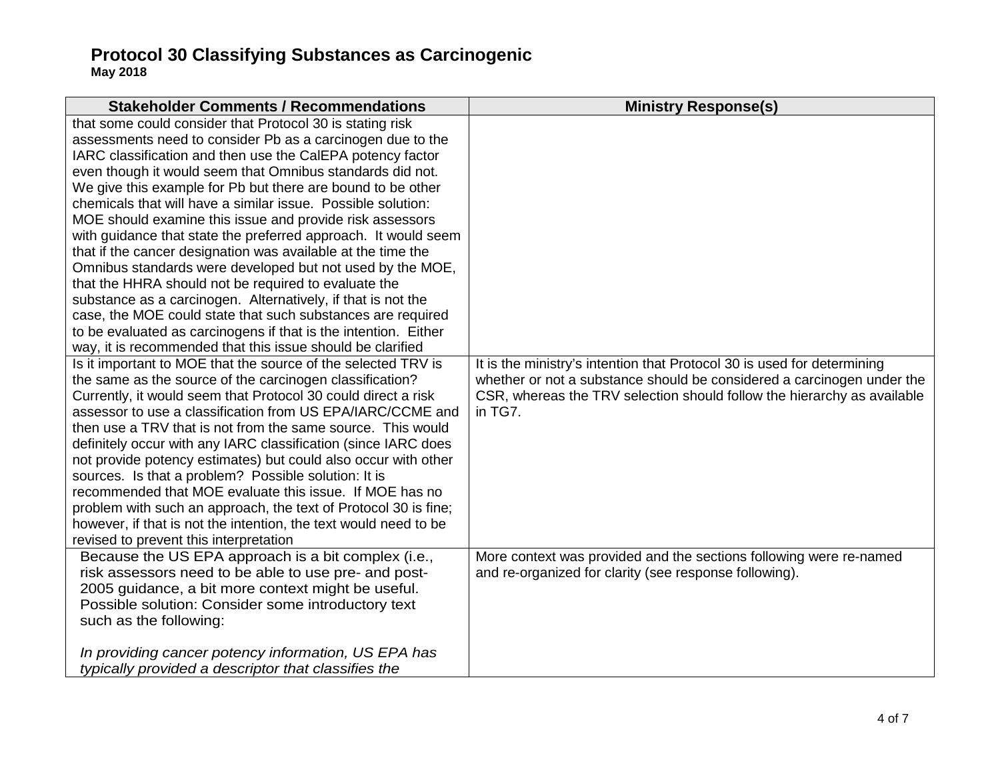| <b>Stakeholder Comments / Recommendations</b>                                                                                                                                                                                                                                                                                                                                                                                                                                                                                                                                                                                                                                                                                                                                                                                                                                                                                                                        | <b>Ministry Response(s)</b>                                                                                                                                                                                                             |
|----------------------------------------------------------------------------------------------------------------------------------------------------------------------------------------------------------------------------------------------------------------------------------------------------------------------------------------------------------------------------------------------------------------------------------------------------------------------------------------------------------------------------------------------------------------------------------------------------------------------------------------------------------------------------------------------------------------------------------------------------------------------------------------------------------------------------------------------------------------------------------------------------------------------------------------------------------------------|-----------------------------------------------------------------------------------------------------------------------------------------------------------------------------------------------------------------------------------------|
| that some could consider that Protocol 30 is stating risk<br>assessments need to consider Pb as a carcinogen due to the<br>IARC classification and then use the CaIEPA potency factor<br>even though it would seem that Omnibus standards did not.<br>We give this example for Pb but there are bound to be other<br>chemicals that will have a similar issue. Possible solution:<br>MOE should examine this issue and provide risk assessors<br>with guidance that state the preferred approach. It would seem<br>that if the cancer designation was available at the time the<br>Omnibus standards were developed but not used by the MOE,<br>that the HHRA should not be required to evaluate the<br>substance as a carcinogen. Alternatively, if that is not the<br>case, the MOE could state that such substances are required<br>to be evaluated as carcinogens if that is the intention. Either<br>way, it is recommended that this issue should be clarified |                                                                                                                                                                                                                                         |
| Is it important to MOE that the source of the selected TRV is<br>the same as the source of the carcinogen classification?<br>Currently, it would seem that Protocol 30 could direct a risk<br>assessor to use a classification from US EPA/IARC/CCME and<br>then use a TRV that is not from the same source. This would<br>definitely occur with any IARC classification (since IARC does<br>not provide potency estimates) but could also occur with other<br>sources. Is that a problem? Possible solution: It is<br>recommended that MOE evaluate this issue. If MOE has no<br>problem with such an approach, the text of Protocol 30 is fine;<br>however, if that is not the intention, the text would need to be<br>revised to prevent this interpretation                                                                                                                                                                                                      | It is the ministry's intention that Protocol 30 is used for determining<br>whether or not a substance should be considered a carcinogen under the<br>CSR, whereas the TRV selection should follow the hierarchy as available<br>in TG7. |
| Because the US EPA approach is a bit complex (i.e.,<br>risk assessors need to be able to use pre- and post-<br>2005 guidance, a bit more context might be useful.<br>Possible solution: Consider some introductory text<br>such as the following:<br>In providing cancer potency information, US EPA has<br>typically provided a descriptor that classifies the                                                                                                                                                                                                                                                                                                                                                                                                                                                                                                                                                                                                      | More context was provided and the sections following were re-named<br>and re-organized for clarity (see response following).                                                                                                            |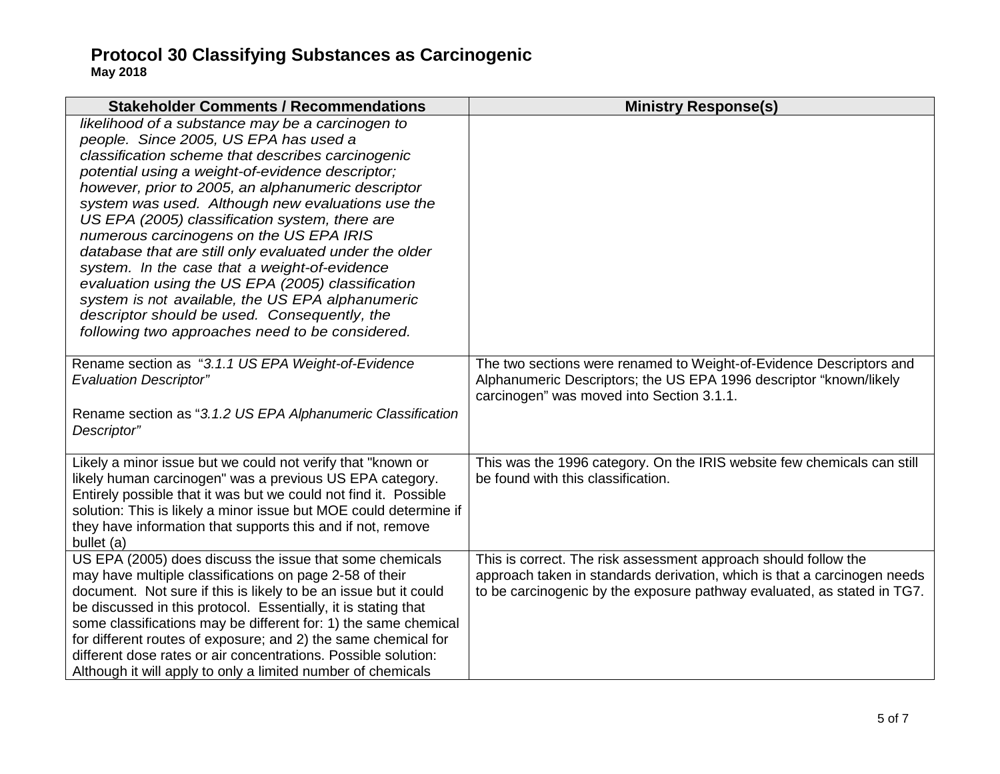| <b>Stakeholder Comments / Recommendations</b>                                                                                                                                                                                                                                                                                                                                                                                                                                                                                                                                                                                                                                                                                     | <b>Ministry Response(s)</b>                                                                                                                                                                                            |
|-----------------------------------------------------------------------------------------------------------------------------------------------------------------------------------------------------------------------------------------------------------------------------------------------------------------------------------------------------------------------------------------------------------------------------------------------------------------------------------------------------------------------------------------------------------------------------------------------------------------------------------------------------------------------------------------------------------------------------------|------------------------------------------------------------------------------------------------------------------------------------------------------------------------------------------------------------------------|
| likelihood of a substance may be a carcinogen to<br>people. Since 2005, US EPA has used a<br>classification scheme that describes carcinogenic<br>potential using a weight-of-evidence descriptor;<br>however, prior to 2005, an alphanumeric descriptor<br>system was used. Although new evaluations use the<br>US EPA (2005) classification system, there are<br>numerous carcinogens on the US EPA IRIS<br>database that are still only evaluated under the older<br>system. In the case that a weight-of-evidence<br>evaluation using the US EPA (2005) classification<br>system is not available, the US EPA alphanumeric<br>descriptor should be used. Consequently, the<br>following two approaches need to be considered. |                                                                                                                                                                                                                        |
| Rename section as "3.1.1 US EPA Weight-of-Evidence<br><b>Evaluation Descriptor"</b>                                                                                                                                                                                                                                                                                                                                                                                                                                                                                                                                                                                                                                               | The two sections were renamed to Weight-of-Evidence Descriptors and<br>Alphanumeric Descriptors; the US EPA 1996 descriptor "known/likely<br>carcinogen" was moved into Section 3.1.1.                                 |
| Rename section as "3.1.2 US EPA Alphanumeric Classification<br>Descriptor"                                                                                                                                                                                                                                                                                                                                                                                                                                                                                                                                                                                                                                                        |                                                                                                                                                                                                                        |
| Likely a minor issue but we could not verify that "known or<br>likely human carcinogen" was a previous US EPA category.<br>Entirely possible that it was but we could not find it. Possible<br>solution: This is likely a minor issue but MOE could determine if<br>they have information that supports this and if not, remove<br>bullet (a)                                                                                                                                                                                                                                                                                                                                                                                     | This was the 1996 category. On the IRIS website few chemicals can still<br>be found with this classification.                                                                                                          |
| US EPA (2005) does discuss the issue that some chemicals<br>may have multiple classifications on page 2-58 of their<br>document. Not sure if this is likely to be an issue but it could<br>be discussed in this protocol. Essentially, it is stating that<br>some classifications may be different for: 1) the same chemical<br>for different routes of exposure; and 2) the same chemical for<br>different dose rates or air concentrations. Possible solution:<br>Although it will apply to only a limited number of chemicals                                                                                                                                                                                                  | This is correct. The risk assessment approach should follow the<br>approach taken in standards derivation, which is that a carcinogen needs<br>to be carcinogenic by the exposure pathway evaluated, as stated in TG7. |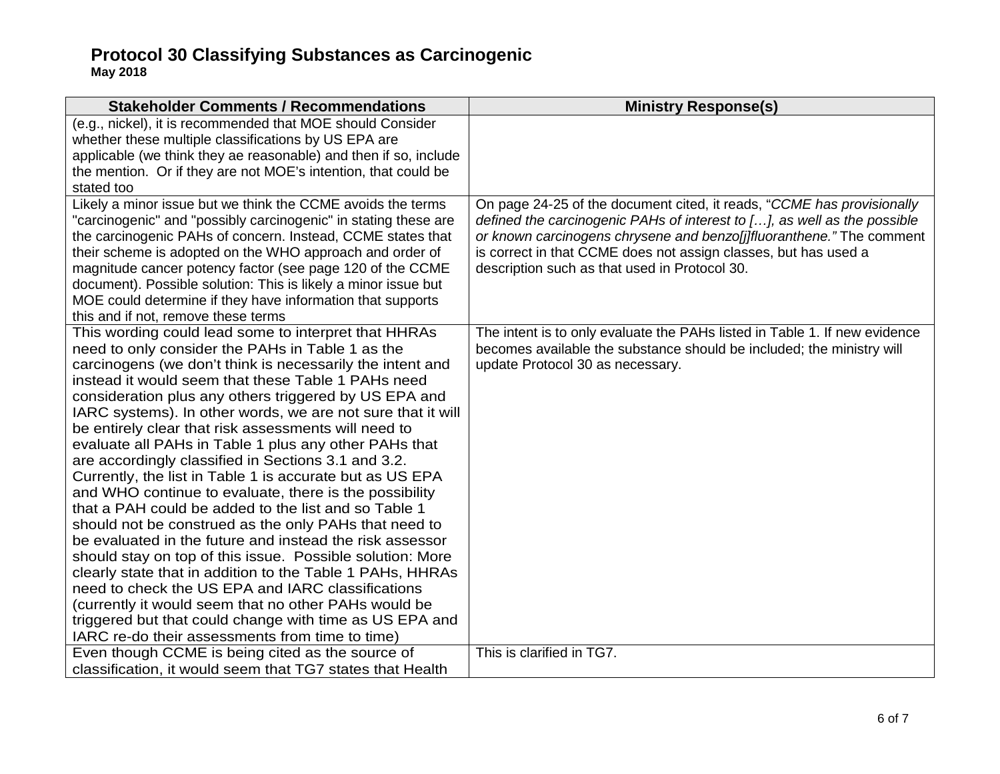| <b>Stakeholder Comments / Recommendations</b>                                                                                                                                                                                                                                                                                                                                                                                                                                                                                                                                                                                                                                                                                                                                                                                                                                                                                                                                                                                                                                                                                                                                       | <b>Ministry Response(s)</b>                                                                                                                                                                                                                                                                                                                    |
|-------------------------------------------------------------------------------------------------------------------------------------------------------------------------------------------------------------------------------------------------------------------------------------------------------------------------------------------------------------------------------------------------------------------------------------------------------------------------------------------------------------------------------------------------------------------------------------------------------------------------------------------------------------------------------------------------------------------------------------------------------------------------------------------------------------------------------------------------------------------------------------------------------------------------------------------------------------------------------------------------------------------------------------------------------------------------------------------------------------------------------------------------------------------------------------|------------------------------------------------------------------------------------------------------------------------------------------------------------------------------------------------------------------------------------------------------------------------------------------------------------------------------------------------|
| (e.g., nickel), it is recommended that MOE should Consider<br>whether these multiple classifications by US EPA are<br>applicable (we think they ae reasonable) and then if so, include<br>the mention. Or if they are not MOE's intention, that could be<br>stated too                                                                                                                                                                                                                                                                                                                                                                                                                                                                                                                                                                                                                                                                                                                                                                                                                                                                                                              |                                                                                                                                                                                                                                                                                                                                                |
| Likely a minor issue but we think the CCME avoids the terms<br>"carcinogenic" and "possibly carcinogenic" in stating these are<br>the carcinogenic PAHs of concern. Instead, CCME states that<br>their scheme is adopted on the WHO approach and order of<br>magnitude cancer potency factor (see page 120 of the CCME<br>document). Possible solution: This is likely a minor issue but<br>MOE could determine if they have information that supports<br>this and if not, remove these terms                                                                                                                                                                                                                                                                                                                                                                                                                                                                                                                                                                                                                                                                                       | On page 24-25 of the document cited, it reads, "CCME has provisionally<br>defined the carcinogenic PAHs of interest to [], as well as the possible<br>or known carcinogens chrysene and benzo[j]fluoranthene." The comment<br>is correct in that CCME does not assign classes, but has used a<br>description such as that used in Protocol 30. |
| This wording could lead some to interpret that HHRAs<br>need to only consider the PAHs in Table 1 as the<br>carcinogens (we don't think is necessarily the intent and<br>instead it would seem that these Table 1 PAHs need<br>consideration plus any others triggered by US EPA and<br>IARC systems). In other words, we are not sure that it will<br>be entirely clear that risk assessments will need to<br>evaluate all PAHs in Table 1 plus any other PAHs that<br>are accordingly classified in Sections 3.1 and 3.2.<br>Currently, the list in Table 1 is accurate but as US EPA<br>and WHO continue to evaluate, there is the possibility<br>that a PAH could be added to the list and so Table 1<br>should not be construed as the only PAHs that need to<br>be evaluated in the future and instead the risk assessor<br>should stay on top of this issue. Possible solution: More<br>clearly state that in addition to the Table 1 PAHs, HHRAs<br>need to check the US EPA and IARC classifications<br>(currently it would seem that no other PAHs would be<br>triggered but that could change with time as US EPA and<br>IARC re-do their assessments from time to time) | The intent is to only evaluate the PAHs listed in Table 1. If new evidence<br>becomes available the substance should be included; the ministry will<br>update Protocol 30 as necessary.                                                                                                                                                        |
| Even though CCME is being cited as the source of<br>classification, it would seem that TG7 states that Health                                                                                                                                                                                                                                                                                                                                                                                                                                                                                                                                                                                                                                                                                                                                                                                                                                                                                                                                                                                                                                                                       | This is clarified in TG7.                                                                                                                                                                                                                                                                                                                      |
|                                                                                                                                                                                                                                                                                                                                                                                                                                                                                                                                                                                                                                                                                                                                                                                                                                                                                                                                                                                                                                                                                                                                                                                     |                                                                                                                                                                                                                                                                                                                                                |